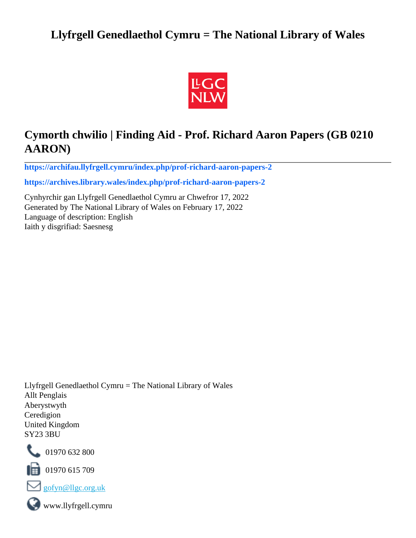# **Llyfrgell Genedlaethol Cymru = The National Library of Wales**



# **Cymorth chwilio | Finding Aid - Prof. Richard Aaron Papers (GB 0210 AARON)**

**[https://archifau.llyfrgell.cymru/index.php/prof-richard-aaron-papers-2](https://archifau.llyfrgell.cymru/index.php/prof-richard-aaron-papers-2;isad?sf_culture=cy)**

**[https://archives.library.wales/index.php/prof-richard-aaron-papers-2](https://archives.library.wales/index.php/prof-richard-aaron-papers-2;isad?sf_culture=en)**

Cynhyrchir gan Llyfrgell Genedlaethol Cymru ar Chwefror 17, 2022 Generated by The National Library of Wales on February 17, 2022 Language of description: English Iaith y disgrifiad: Saesnesg

Llyfrgell Genedlaethol Cymru = The National Library of Wales Allt Penglais Aberystwyth Ceredigion United Kingdom SY23 3BU



101970 632 800

 $\blacksquare$  01970 615 709



www.llyfrgell.cymru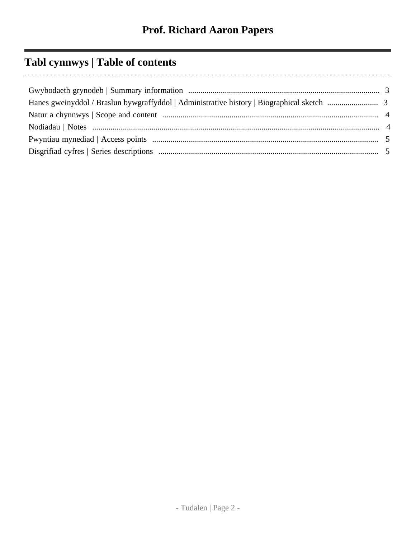# **Tabl cynnwys | Table of contents**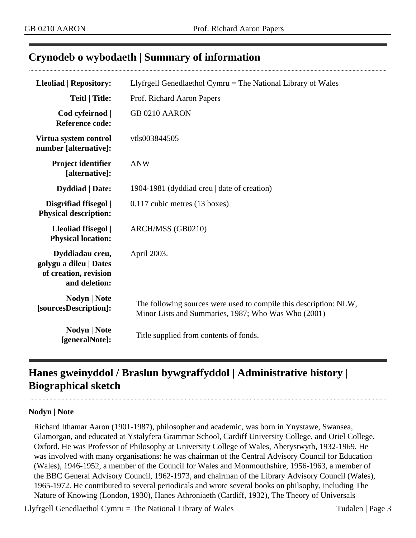## <span id="page-2-0"></span>**Crynodeb o wybodaeth | Summary of information**

| <b>Lleoliad   Repository:</b>                                                       | Llyfrgell Genedlaethol Cymru $=$ The National Library of Wales                                                           |
|-------------------------------------------------------------------------------------|--------------------------------------------------------------------------------------------------------------------------|
| <b>Teitl</b>   Title:                                                               | Prof. Richard Aaron Papers                                                                                               |
| Cod cyfeirnod  <br><b>Reference code:</b>                                           | <b>GB 0210 AARON</b>                                                                                                     |
| Virtua system control<br>number [alternative]:                                      | vtls003844505                                                                                                            |
| Project identifier<br>[alternative]:                                                | <b>ANW</b>                                                                                                               |
| <b>Dyddiad</b>   Date:                                                              | 1904-1981 (dyddiad creu   date of creation)                                                                              |
| Disgrifiad ffisegol  <br><b>Physical description:</b>                               | 0.117 cubic metres (13 boxes)                                                                                            |
| Lleoliad ffisegol  <br><b>Physical location:</b>                                    | ARCH/MSS (GB0210)                                                                                                        |
| Dyddiadau creu,<br>golygu a dileu   Dates<br>of creation, revision<br>and deletion: | April 2003.                                                                                                              |
| Nodyn   Note<br>[sourcesDescription]:                                               | The following sources were used to compile this description: NLW,<br>Minor Lists and Summaries, 1987; Who Was Who (2001) |
| Nodyn   Note<br>[generalNote]:                                                      | Title supplied from contents of fonds.                                                                                   |

# <span id="page-2-1"></span>**Hanes gweinyddol / Braslun bywgraffyddol | Administrative history | Biographical sketch**

#### **Nodyn | Note**

Richard Ithamar Aaron (1901-1987), philosopher and academic, was born in Ynystawe, Swansea, Glamorgan, and educated at Ystalyfera Grammar School, Cardiff University College, and Oriel College, Oxford. He was Professor of Philosophy at University College of Wales, Aberystwyth, 1932-1969. He was involved with many organisations: he was chairman of the Central Advisory Council for Education (Wales), 1946-1952, a member of the Council for Wales and Monmouthshire, 1956-1963, a member of the BBC General Advisory Council, 1962-1973, and chairman of the Library Advisory Council (Wales), 1965-1972. He contributed to several periodicals and wrote several books on philsophy, including The Nature of Knowing (London, 1930), Hanes Athroniaeth (Cardiff, 1932), The Theory of Universals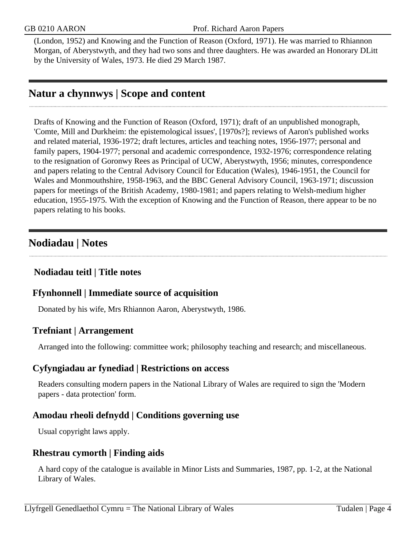(London, 1952) and Knowing and the Function of Reason (Oxford, 1971). He was married to Rhiannon Morgan, of Aberystwyth, and they had two sons and three daughters. He was awarded an Honorary DLitt by the University of Wales, 1973. He died 29 March 1987.

# <span id="page-3-0"></span>**Natur a chynnwys | Scope and content**

Drafts of Knowing and the Function of Reason (Oxford, 1971); draft of an unpublished monograph, 'Comte, Mill and Durkheim: the epistemological issues', [1970s?]; reviews of Aaron's published works and related material, 1936-1972; draft lectures, articles and teaching notes, 1956-1977; personal and family papers, 1904-1977; personal and academic correspondence, 1932-1976; correspondence relating to the resignation of Goronwy Rees as Principal of UCW, Aberystwyth, 1956; minutes, correspondence and papers relating to the Central Advisory Council for Education (Wales), 1946-1951, the Council for Wales and Monmouthshire, 1958-1963, and the BBC General Advisory Council, 1963-1971; discussion papers for meetings of the British Academy, 1980-1981; and papers relating to Welsh-medium higher education, 1955-1975. With the exception of Knowing and the Function of Reason, there appear to be no papers relating to his books.

## <span id="page-3-1"></span>**Nodiadau | Notes**

## **Nodiadau teitl | Title notes**

#### **Ffynhonnell | Immediate source of acquisition**

Donated by his wife, Mrs Rhiannon Aaron, Aberystwyth, 1986.

#### **Trefniant | Arrangement**

Arranged into the following: committee work; philosophy teaching and research; and miscellaneous.

#### **Cyfyngiadau ar fynediad | Restrictions on access**

Readers consulting modern papers in the National Library of Wales are required to sign the 'Modern papers - data protection' form.

#### **Amodau rheoli defnydd | Conditions governing use**

Usual copyright laws apply.

#### **Rhestrau cymorth | Finding aids**

A hard copy of the catalogue is available in Minor Lists and Summaries, 1987, pp. 1-2, at the National Library of Wales.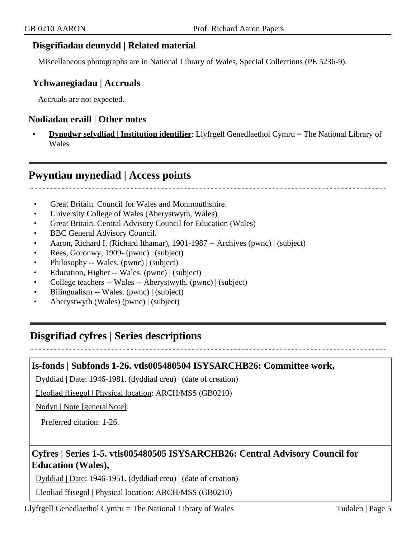#### **Disgrifiadau deunydd | Related material**

Miscellaneous photographs are in National Library of Wales, Special Collections (PE 5236-9).

#### **Ychwanegiadau | Accruals**

Accruals are not expected.

#### **Nodiadau eraill | Other notes**

• **Dynodwr sefydliad | Institution identifier**: Llyfrgell Genedlaethol Cymru = The National Library of Wales

## <span id="page-4-0"></span>**Pwyntiau mynediad | Access points**

- Great Britain. Council for Wales and Monmouthshire.
- University College of Wales (Aberystwyth, Wales)
- Great Britain. Central Advisory Council for Education (Wales)
- BBC General Advisory Council.
- Aaron, Richard I. (Richard Ithamar), 1901-1987 -- Archives (pwnc) | (subject)
- Rees, Goronwy, 1909- (pwnc) | (subject)
- Philosophy -- Wales. (pwnc) | (subject)
- Education, Higher -- Wales. (pwnc) | (subject)
- College teachers -- Wales -- Aberystwyth. (pwnc) | (subject)
- Bilingualism -- Wales. (pwnc) | (subject)
- Aberystwyth (Wales) (pwnc) | (subject)

# <span id="page-4-1"></span>**Disgrifiad cyfres | Series descriptions**

#### **Is-fonds | Subfonds 1-26. vtls005480504 ISYSARCHB26: Committee work,**

Dyddiad | Date: 1946-1981. (dyddiad creu) | (date of creation)

Lleoliad ffisegol | Physical location: ARCH/MSS (GB0210)

Nodyn | Note [generalNote]:

Preferred citation: 1-26.

#### **Cyfres | Series 1-5. vtls005480505 ISYSARCHB26: Central Advisory Council for Education (Wales),**

Dyddiad | Date: 1946-1951. (dyddiad creu) | (date of creation)

Lleoliad ffisegol | Physical location: ARCH/MSS (GB0210)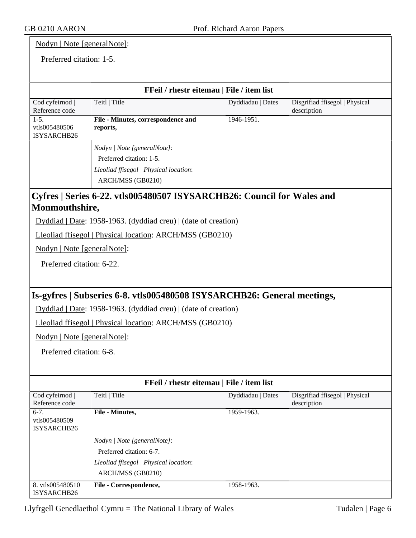ISYSARCHB26

8. vtls005480510 ISYSARCHB26

| Nodyn   Note [generalNote]:         |                                                                         |                                           |                                               |
|-------------------------------------|-------------------------------------------------------------------------|-------------------------------------------|-----------------------------------------------|
| Preferred citation: 1-5.            |                                                                         |                                           |                                               |
|                                     |                                                                         |                                           |                                               |
|                                     |                                                                         | FFeil / rhestr eitemau   File / item list |                                               |
| Cod cyfeirnod<br>Reference code     | Teitl   Title                                                           | Dyddiadau   Dates                         | Disgrifiad ffisegol   Physical<br>description |
| $1-5.$                              | File - Minutes, correspondence and                                      | 1946-1951.                                |                                               |
| vtls005480506<br><b>ISYSARCHB26</b> | reports,                                                                |                                           |                                               |
|                                     | Nodyn   Note [generalNote]:                                             |                                           |                                               |
|                                     | Preferred citation: 1-5.                                                |                                           |                                               |
|                                     | Lleoliad ffisegol   Physical location:                                  |                                           |                                               |
|                                     | ARCH/MSS (GB0210)                                                       |                                           |                                               |
|                                     | Cyfres   Series 6-22. vtls005480507 ISYSARCHB26: Council for Wales and  |                                           |                                               |
| Monmouthshire,                      |                                                                         |                                           |                                               |
|                                     | Dyddiad   Date: 1958-1963. (dyddiad creu)   (date of creation)          |                                           |                                               |
|                                     | Lleoliad ffisegol   Physical location: ARCH/MSS (GB0210)                |                                           |                                               |
| Nodyn   Note [generalNote]:         |                                                                         |                                           |                                               |
| Preferred citation: 6-22.           |                                                                         |                                           |                                               |
|                                     |                                                                         |                                           |                                               |
|                                     | Is-gyfres   Subseries 6-8. vtls005480508 ISYSARCHB26: General meetings, |                                           |                                               |
|                                     | Dyddiad   Date: 1958-1963. (dyddiad creu)   (date of creation)          |                                           |                                               |
|                                     | Lleoliad ffisegol   Physical location: ARCH/MSS (GB0210)                |                                           |                                               |
| Nodyn   Note [generalNote]:         |                                                                         |                                           |                                               |
| Preferred citation: 6-8.            |                                                                         |                                           |                                               |
|                                     |                                                                         |                                           |                                               |
|                                     |                                                                         | FFeil / rhestr eitemau   File / item list |                                               |
| Cod cyfeirnod                       | Teitl   Title                                                           | Dyddiadau   Dates                         | Disgrifiad ffisegol   Physical                |
| Reference code                      |                                                                         |                                           | description                                   |
| $6-7.$                              | File - Minutes,                                                         | 1959-1963.                                |                                               |
| vtls005480509                       |                                                                         |                                           |                                               |

ARCH/MSS (GB0210)

*Nodyn | Note [generalNote]*: Preferred citation: 6-7.

*Lleoliad ffisegol | Physical location*:

**File - Correspondence,** 1958-1963.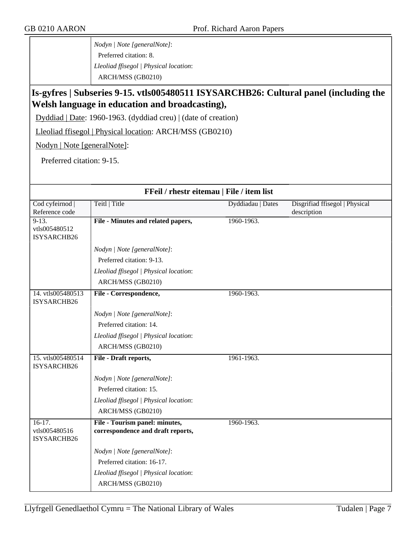*Nodyn | Note [generalNote]*: Preferred citation: 8. *Lleoliad ffisegol | Physical location*: ARCH/MSS (GB0210)

## **Is-gyfres | Subseries 9-15. vtls005480511 ISYSARCHB26: Cultural panel (including the Welsh language in education and broadcasting),**

Dyddiad | Date: 1960-1963. (dyddiad creu) | (date of creation)

Lleoliad ffisegol | Physical location: ARCH/MSS (GB0210)

Nodyn | Note [generalNote]:

Preferred citation: 9-15.

| FFeil / rhestr eitemau   File / item list |                                                                     |                   |                                               |
|-------------------------------------------|---------------------------------------------------------------------|-------------------|-----------------------------------------------|
| Cod cyfeirnod  <br>Reference code         | Teitl   Title                                                       | Dyddiadau   Dates | Disgrifiad ffisegol   Physical<br>description |
| $9-13.$<br>vtls005480512<br>ISYSARCHB26   | File - Minutes and related papers,                                  | 1960-1963.        |                                               |
|                                           | Nodyn   Note [generalNote]:                                         |                   |                                               |
|                                           | Preferred citation: 9-13.                                           |                   |                                               |
|                                           | Lleoliad ffisegol   Physical location:                              |                   |                                               |
|                                           | ARCH/MSS (GB0210)                                                   |                   |                                               |
| 14. vtls005480513<br><b>ISYSARCHB26</b>   | File - Correspondence,                                              | 1960-1963.        |                                               |
|                                           | Nodyn   Note [generalNote]:                                         |                   |                                               |
|                                           | Preferred citation: 14.                                             |                   |                                               |
|                                           | Lleoliad ffisegol   Physical location:                              |                   |                                               |
|                                           | ARCH/MSS (GB0210)                                                   |                   |                                               |
| 15. vtls005480514<br>ISYSARCHB26          | File - Draft reports,                                               | 1961-1963.        |                                               |
|                                           | Nodyn   Note [generalNote]:                                         |                   |                                               |
|                                           | Preferred citation: 15.                                             |                   |                                               |
|                                           | Lleoliad ffisegol   Physical location:                              |                   |                                               |
|                                           | ARCH/MSS (GB0210)                                                   |                   |                                               |
| $16-17.$<br>vtls005480516<br>ISYSARCHB26  | File - Tourism panel: minutes,<br>correspondence and draft reports, | 1960-1963.        |                                               |
|                                           | Nodyn   Note [generalNote]:                                         |                   |                                               |
|                                           | Preferred citation: 16-17.                                          |                   |                                               |
|                                           | Lleoliad ffisegol   Physical location:                              |                   |                                               |
|                                           | ARCH/MSS (GB0210)                                                   |                   |                                               |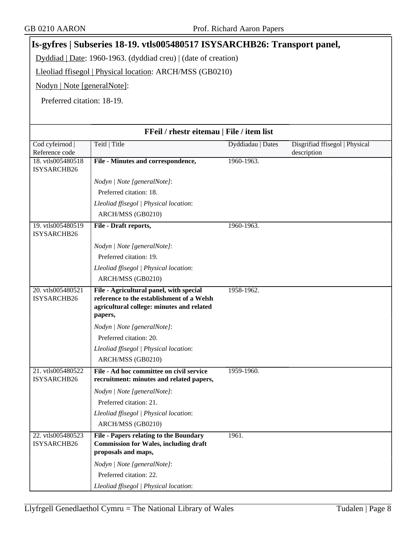# **Is-gyfres | Subseries 18-19. vtls005480517 ISYSARCHB26: Transport panel,**

Dyddiad | Date: 1960-1963. (dyddiad creu) | (date of creation)

Lleoliad ffisegol | Physical location: ARCH/MSS (GB0210)

Nodyn | Note [generalNote]:

Preferred citation: 18-19.

| FFeil / rhestr eitemau   File / item list |                                                                                                                                              |                   |                                               |
|-------------------------------------------|----------------------------------------------------------------------------------------------------------------------------------------------|-------------------|-----------------------------------------------|
| Cod cyfeirnod  <br>Reference code         | Teitl   Title                                                                                                                                | Dyddiadau   Dates | Disgrifiad ffisegol   Physical<br>description |
| 18. vtls005480518<br>ISYSARCHB26          | File - Minutes and correspondence,                                                                                                           | 1960-1963.        |                                               |
|                                           | Nodyn   Note [generalNote]:                                                                                                                  |                   |                                               |
|                                           | Preferred citation: 18.                                                                                                                      |                   |                                               |
|                                           | Lleoliad ffisegol   Physical location:                                                                                                       |                   |                                               |
|                                           | ARCH/MSS (GB0210)                                                                                                                            |                   |                                               |
| 19. vtls005480519<br>ISYSARCHB26          | File - Draft reports,                                                                                                                        | 1960-1963.        |                                               |
|                                           | Nodyn   Note [generalNote]:                                                                                                                  |                   |                                               |
|                                           | Preferred citation: 19.                                                                                                                      |                   |                                               |
|                                           | Lleoliad ffisegol   Physical location:                                                                                                       |                   |                                               |
|                                           | ARCH/MSS (GB0210)                                                                                                                            |                   |                                               |
| 20. vtls005480521<br>ISYSARCHB26          | File - Agricultural panel, with special<br>reference to the establishment of a Welsh<br>agricultural college: minutes and related<br>papers, | 1958-1962.        |                                               |
|                                           | Nodyn   Note [generalNote]:                                                                                                                  |                   |                                               |
|                                           | Preferred citation: 20.                                                                                                                      |                   |                                               |
|                                           | Lleoliad ffisegol   Physical location:                                                                                                       |                   |                                               |
|                                           | ARCH/MSS (GB0210)                                                                                                                            |                   |                                               |
| 21. vtls005480522<br>ISYSARCHB26          | File - Ad hoc committee on civil service<br>recruitment: minutes and related papers,                                                         | 1959-1960.        |                                               |
|                                           | Nodyn   Note [generalNote]:                                                                                                                  |                   |                                               |
|                                           | Preferred citation: 21.                                                                                                                      |                   |                                               |
|                                           | Lleoliad ffisegol   Physical location:                                                                                                       |                   |                                               |
|                                           | ARCH/MSS (GB0210)                                                                                                                            |                   |                                               |
| 22. vtls005480523<br>ISYSARCHB26          | File - Papers relating to the Boundary<br><b>Commission for Wales, including draft</b><br>proposals and maps,                                | 1961.             |                                               |
|                                           | Nodyn   Note [generalNote]:                                                                                                                  |                   |                                               |
|                                           | Preferred citation: 22.                                                                                                                      |                   |                                               |
|                                           | Lleoliad ffisegol   Physical location:                                                                                                       |                   |                                               |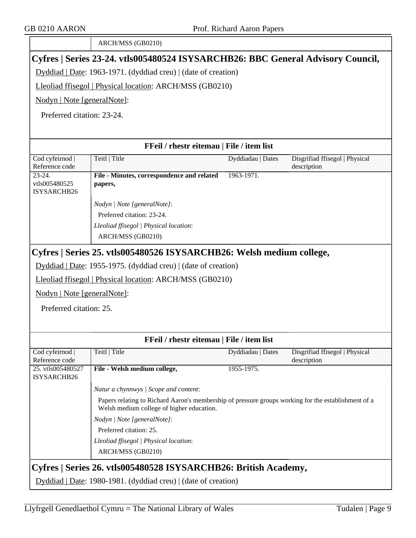|                                                                                 | ARCH/MSS (GB0210)                                                                                                                                |                   |                                               |
|---------------------------------------------------------------------------------|--------------------------------------------------------------------------------------------------------------------------------------------------|-------------------|-----------------------------------------------|
| Cyfres   Series 23-24. vtls005480524 ISYSARCHB26: BBC General Advisory Council, |                                                                                                                                                  |                   |                                               |
| Dyddiad   Date: 1963-1971. (dyddiad creu)   (date of creation)                  |                                                                                                                                                  |                   |                                               |
|                                                                                 | Lleoliad ffisegol   Physical location: ARCH/MSS (GB0210)                                                                                         |                   |                                               |
| Nodyn   Note [generalNote]:                                                     |                                                                                                                                                  |                   |                                               |
| Preferred citation: 23-24.                                                      |                                                                                                                                                  |                   |                                               |
|                                                                                 |                                                                                                                                                  |                   |                                               |
|                                                                                 | FFeil / rhestr eitemau   File / item list                                                                                                        |                   |                                               |
| Cod cyfeirnod                                                                   | Teitl   Title                                                                                                                                    | Dyddiadau   Dates | Disgrifiad ffisegol   Physical                |
| Reference code                                                                  |                                                                                                                                                  |                   | description                                   |
| $23-24.$<br>vtls005480525<br>ISYSARCHB26                                        | File - Minutes, correspondence and related<br>papers,                                                                                            | 1963-1971.        |                                               |
|                                                                                 | Nodyn   Note [generalNote]:                                                                                                                      |                   |                                               |
|                                                                                 | Preferred citation: 23-24.                                                                                                                       |                   |                                               |
|                                                                                 | Lleoliad ffisegol   Physical location:                                                                                                           |                   |                                               |
|                                                                                 | ARCH/MSS (GB0210)                                                                                                                                |                   |                                               |
|                                                                                 | Cyfres   Series 25. vtls005480526 ISYSARCHB26: Welsh medium college,                                                                             |                   |                                               |
|                                                                                 | Dyddiad   Date: 1955-1975. (dyddiad creu)   (date of creation)                                                                                   |                   |                                               |
|                                                                                 | Lleoliad ffisegol   Physical location: ARCH/MSS (GB0210)                                                                                         |                   |                                               |
| Nodyn   Note [generalNote]:                                                     |                                                                                                                                                  |                   |                                               |
| Preferred citation: 25.                                                         |                                                                                                                                                  |                   |                                               |
|                                                                                 |                                                                                                                                                  |                   |                                               |
|                                                                                 |                                                                                                                                                  |                   |                                               |
|                                                                                 | FFeil / rhestr eitemau   File / item list                                                                                                        |                   |                                               |
| Cod cyfeirnod<br>Reference code                                                 | Teitl   Title                                                                                                                                    | Dyddiadau   Dates | Disgrifiad ffisegol   Physical<br>description |
| 25. vtls005480527                                                               | File - Welsh medium college,                                                                                                                     | 1955-1975.        |                                               |
| ISYSARCHB26                                                                     |                                                                                                                                                  |                   |                                               |
|                                                                                 | Natur a chynnwys / Scope and content:                                                                                                            |                   |                                               |
|                                                                                 | Papers relating to Richard Aaron's membership of pressure groups working for the establishment of a<br>Welsh medium college of higher education. |                   |                                               |
|                                                                                 | Nodyn   Note [generalNote]:                                                                                                                      |                   |                                               |
|                                                                                 | Preferred citation: 25.                                                                                                                          |                   |                                               |
|                                                                                 | Lleoliad ffisegol   Physical location:                                                                                                           |                   |                                               |
|                                                                                 | ARCH/MSS (GB0210)                                                                                                                                |                   |                                               |
| Cyfres   Series 26. vtls005480528 ISYSARCHB26: British Academy,                 |                                                                                                                                                  |                   |                                               |
|                                                                                 | Dyddiad   Date: 1980-1981. (dyddiad creu)   (date of creation)                                                                                   |                   |                                               |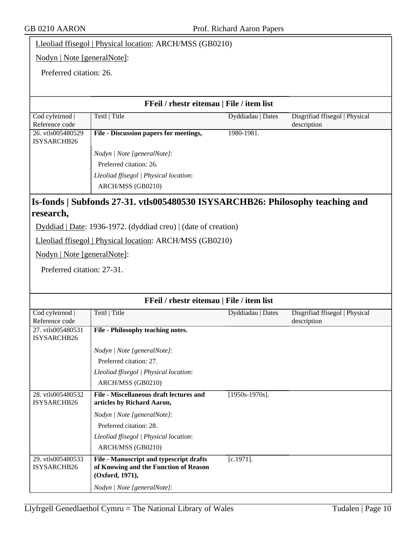Lleoliad ffisegol | Physical location: ARCH/MSS (GB0210)

Nodyn | Note [generalNote]:

Preferred citation: 26.

#### **FFeil / rhestr eitemau | File / item list**

| Cod cyfeirnod                    | Teitl   Title                                      | Dyddiadau   Dates | Disgrifiad ffisegol   Physical |
|----------------------------------|----------------------------------------------------|-------------------|--------------------------------|
| Reference code                   |                                                    |                   | description                    |
| 26. vtls005480529<br>ISYSARCHB26 | File - Discussion papers for meetings,             | 1980-1981.        |                                |
|                                  | <i>Nodyn</i>   <i>Note</i> [general <i>Note</i> ]: |                   |                                |
|                                  | Preferred citation: 26.                            |                   |                                |
|                                  | Lleoliad ffisegol   Physical location:             |                   |                                |
|                                  | ARCH/MSS (GB0210)                                  |                   |                                |
|                                  |                                                    |                   |                                |

#### **Is-fonds | Subfonds 27-31. vtls005480530 ISYSARCHB26: Philosophy teaching and research,**

Dyddiad | Date: 1936-1972. (dyddiad creu) | (date of creation)

Lleoliad ffisegol | Physical location: ARCH/MSS (GB0210)

Nodyn | Note [generalNote]:

Preferred citation: 27-31.

| FFeil / rhestr eitemau   File / item list |                                         |                   |                                |
|-------------------------------------------|-----------------------------------------|-------------------|--------------------------------|
| $\overline{\text{Cod}}$ cyfeirnod         | Teitl   Title                           | Dyddiadau   Dates | Disgrifiad ffisegol   Physical |
| Reference code                            |                                         |                   | description                    |
| 27. vtls005480531                         | File - Philosophy teaching notes.       |                   |                                |
| ISYSARCHB26                               |                                         |                   |                                |
|                                           | Nodyn   Note [generalNote]:             |                   |                                |
|                                           | Preferred citation: 27.                 |                   |                                |
|                                           | Lleoliad ffisegol   Physical location:  |                   |                                |
|                                           | ARCH/MSS (GB0210)                       |                   |                                |
| 28. vtls005480532                         | File - Miscellaneous draft lectures and | $[1950s-1970s]$ . |                                |
| <b>ISYSARCHB26</b>                        | articles by Richard Aaron,              |                   |                                |
|                                           | Nodyn   Note [generalNote]:             |                   |                                |
|                                           | Preferred citation: 28.                 |                   |                                |
|                                           | Lleoliad ffisegol   Physical location:  |                   |                                |
|                                           | ARCH/MSS (GB0210)                       |                   |                                |
| 29. vtls005480533                         | File - Manuscript and typescript drafts | $[c.1971]$ .      |                                |
| <b>ISYSARCHB26</b>                        | of Knowing and the Function of Reason   |                   |                                |
|                                           | (Oxford, 1971),                         |                   |                                |
|                                           | Nodyn   Note [generalNote]:             |                   |                                |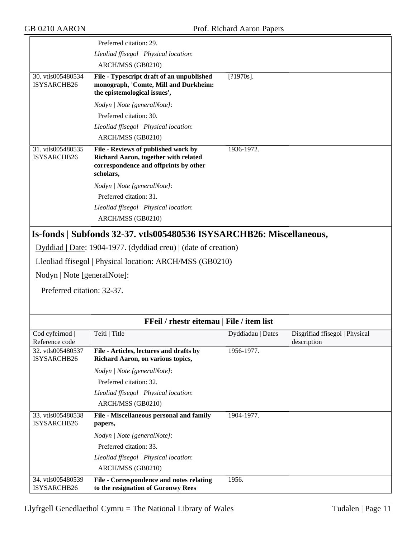|                                  | Preferred citation: 29.                                                                                                           |                   |                                               |
|----------------------------------|-----------------------------------------------------------------------------------------------------------------------------------|-------------------|-----------------------------------------------|
|                                  | Lleoliad ffisegol   Physical location:                                                                                            |                   |                                               |
|                                  | ARCH/MSS (GB0210)                                                                                                                 |                   |                                               |
| 30. vtls005480534<br>ISYSARCHB26 | File - Typescript draft of an unpublished<br>monograph, 'Comte, Mill and Durkheim:<br>the epistemological issues',                | $[?1970s]$ .      |                                               |
|                                  | Nodyn   Note [generalNote]:                                                                                                       |                   |                                               |
|                                  | Preferred citation: 30.                                                                                                           |                   |                                               |
|                                  | Lleoliad ffisegol   Physical location:                                                                                            |                   |                                               |
|                                  | ARCH/MSS (GB0210)                                                                                                                 |                   |                                               |
| 31. vtls005480535<br>ISYSARCHB26 | File - Reviews of published work by<br>Richard Aaron, together with related<br>correspondence and offprints by other<br>scholars, | 1936-1972.        |                                               |
|                                  | Nodyn   Note [generalNote]:                                                                                                       |                   |                                               |
|                                  | Preferred citation: 31.                                                                                                           |                   |                                               |
|                                  | Lleoliad ffisegol   Physical location:                                                                                            |                   |                                               |
|                                  | ARCH/MSS (GB0210)                                                                                                                 |                   |                                               |
|                                  | Is-fonds   Subfonds 32-37. vtls005480536 ISYSARCHB26: Miscellaneous,                                                              |                   |                                               |
|                                  | Dyddiad   Date: 1904-1977. (dyddiad creu)   (date of creation)                                                                    |                   |                                               |
|                                  | Lleoliad ffisegol   Physical location: ARCH/MSS (GB0210)                                                                          |                   |                                               |
|                                  | Nodyn   Note [generalNote]:                                                                                                       |                   |                                               |
| Preferred citation: 32-37.       |                                                                                                                                   |                   |                                               |
|                                  |                                                                                                                                   |                   |                                               |
|                                  |                                                                                                                                   |                   |                                               |
|                                  | FFeil / rhestr eitemau   File / item list                                                                                         |                   |                                               |
| Cod cyfeirnod<br>Reference code  | Teitl   Title                                                                                                                     | Dyddiadau   Dates | Disgrifiad ffisegol   Physical<br>description |
| 32. vtls005480537<br>ISYSARCHB26 | File - Articles, lectures and drafts by<br>Richard Aaron, on various topics,                                                      | 1956-1977.        |                                               |
|                                  | Nodyn   Note [generalNote]:                                                                                                       |                   |                                               |
|                                  | Preferred citation: 32.                                                                                                           |                   |                                               |
|                                  | Lleoliad ffisegol   Physical location:                                                                                            |                   |                                               |
|                                  | ARCH/MSS (GB0210)                                                                                                                 |                   |                                               |
| 33. vtls005480538<br>ISYSARCHB26 | File - Miscellaneous personal and family<br>papers,                                                                               | 1904-1977.        |                                               |
|                                  | Nodyn   Note [generalNote]:                                                                                                       |                   |                                               |
|                                  | Preferred citation: 33.                                                                                                           |                   |                                               |
|                                  | Lleoliad ffisegol   Physical location:                                                                                            |                   |                                               |
|                                  | ARCH/MSS (GB0210)                                                                                                                 |                   |                                               |
| 34. vtls005480539<br>ISYSARCHB26 | File - Correspondence and notes relating<br>to the resignation of Goronwy Rees                                                    | 1956.             |                                               |